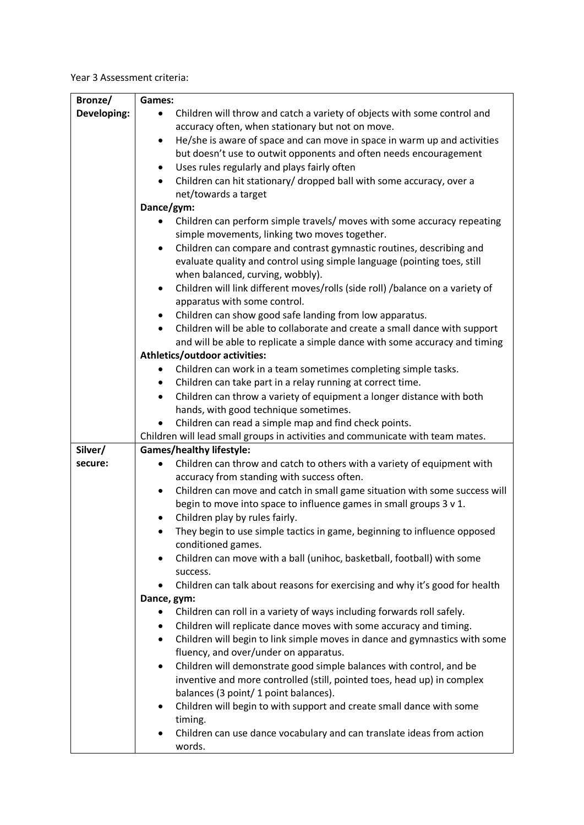Year 3 Assessment criteria:

| Bronze/     | Games:                                                                                     |
|-------------|--------------------------------------------------------------------------------------------|
| Developing: | Children will throw and catch a variety of objects with some control and<br>$\bullet$      |
|             | accuracy often, when stationary but not on move.                                           |
|             | He/she is aware of space and can move in space in warm up and activities<br>$\bullet$      |
|             | but doesn't use to outwit opponents and often needs encouragement                          |
|             | Uses rules regularly and plays fairly often<br>٠                                           |
|             | Children can hit stationary/ dropped ball with some accuracy, over a                       |
|             | net/towards a target                                                                       |
|             | Dance/gym:                                                                                 |
|             | Children can perform simple travels/ moves with some accuracy repeating                    |
|             | simple movements, linking two moves together.                                              |
|             | Children can compare and contrast gymnastic routines, describing and<br>$\bullet$          |
|             | evaluate quality and control using simple language (pointing toes, still                   |
|             | when balanced, curving, wobbly).                                                           |
|             | Children will link different moves/rolls (side roll) /balance on a variety of<br>$\bullet$ |
|             | apparatus with some control.                                                               |
|             | Children can show good safe landing from low apparatus.                                    |
|             | Children will be able to collaborate and create a small dance with support                 |
|             | and will be able to replicate a simple dance with some accuracy and timing                 |
|             | Athletics/outdoor activities:                                                              |
|             | Children can work in a team sometimes completing simple tasks.                             |
|             | Children can take part in a relay running at correct time.<br>٠                            |
|             | Children can throw a variety of equipment a longer distance with both<br>$\bullet$         |
|             | hands, with good technique sometimes.                                                      |
|             | Children can read a simple map and find check points.                                      |
|             | Children will lead small groups in activities and communicate with team mates.             |
| Silver/     | <b>Games/healthy lifestyle:</b>                                                            |
| secure:     | Children can throw and catch to others with a variety of equipment with<br>$\bullet$       |
|             | accuracy from standing with success often.                                                 |
|             | Children can move and catch in small game situation with some success will<br>٠            |
|             | begin to move into space to influence games in small groups 3 v 1.                         |
|             | Children play by rules fairly.                                                             |
|             | They begin to use simple tactics in game, beginning to influence opposed                   |
|             | conditioned games.                                                                         |
|             | Children can move with a ball (unihoc, basketball, football) with some<br>$\bullet$        |
|             | success.                                                                                   |
|             | Children can talk about reasons for exercising and why it's good for health                |
|             | Dance, gym:                                                                                |
|             | Children can roll in a variety of ways including forwards roll safely.<br>$\bullet$        |
|             | Children will replicate dance moves with some accuracy and timing.<br>$\bullet$            |
|             | Children will begin to link simple moves in dance and gymnastics with some<br>$\bullet$    |
|             | fluency, and over/under on apparatus.                                                      |
|             | Children will demonstrate good simple balances with control, and be<br>$\bullet$           |
|             | inventive and more controlled (still, pointed toes, head up) in complex                    |
|             | balances (3 point/ 1 point balances).                                                      |
|             | Children will begin to with support and create small dance with some<br>٠                  |
|             | timing.                                                                                    |
|             | Children can use dance vocabulary and can translate ideas from action                      |
|             | words.                                                                                     |